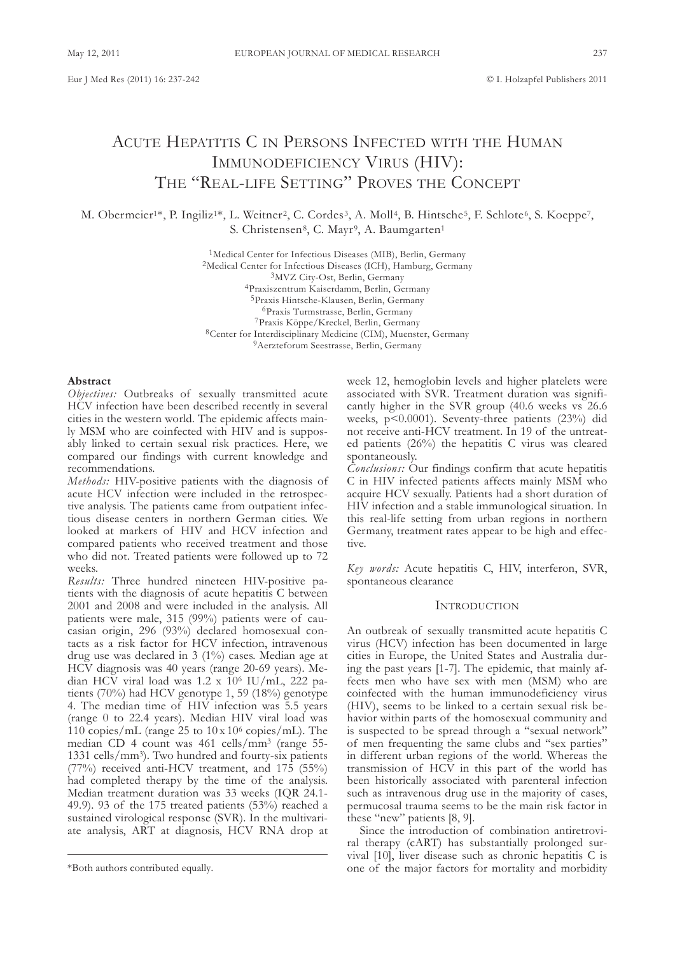# ACUTE HEPATITIS C IN PERSONS INFECTED WITH THE HUMAN IMMunodEfIcIEncy VIRus (HIV): THE "REAL-LIFE SETTING" PROVES THE CONCEPT

M. Obermeier<sup>1\*</sup>, P. Ingiliz<sup>1\*</sup>, L. Weitner<sup>2</sup>, C. Cordes<sup>3</sup>, A. Moll<sup>4</sup>, B. Hintsche<sup>5</sup>, F. Schlote<sup>6</sup>, S. Koeppe<sup>7</sup>, S. Christensen<sup>8</sup>, C. Mayr<sup>9</sup>, A. Baumgarten<sup>1</sup>

> <sup>1</sup>Medical Center for Infectious Diseases (MIB), Berlin, Germany <sup>2</sup>Medical Center for Infectious Diseases (ICH), Hamburg, Germany <sup>3</sup>MVZ City-Ost, Berlin, Germany 4Praxiszentrum Kaiserdamm, Berlin, Germany 5Praxis Hintsche-Klausen, Berlin, Germany <sup>6</sup>Praxis Turmstrasse, Berlin, Germany 7Praxis Köppe/Kreckel, Berlin, germany <sup>8</sup>Center for Interdisciplinary Medicine (CIM), Muenster, Germany <sup>9</sup>Aerzteforum Seestrasse, Berlin, Germany

#### **Abstract**

Objectives: Outbreaks of sexually transmitted acute HcV infection have been described recently in several cities in the western world. The epidemic affects mainly MsM who are coinfected with HIV and is supposably linked to certain sexual risk practices. Here, we compared our findings with current knowledge and recommendations.

*Methods:* HIV-positive patients with the diagnosis of acute HcV infection were included in the retrospective analysis. The patients came from outpatient infectious disease centers in northern german cities. we looked at markers of HIV and HcV infection and compared patients who received treatment and those who did not. Treated patients were followed up to 72 weeks.

*Results:* Three hundred nineteen HIV-positive patients with the diagnosis of acute hepatitis c between 2001 and 2008 and were included in the analysis. All patients were male, 315 (99%) patients were of caucasian origin, 296 (93%) declared homosexual contacts as a risk factor for HcV infection, intravenous drug use was declared in 3 (1%) cases. Median age at HcV diagnosis was 40 years (range 20-69 years). Median HCV viral load was  $1.2 \times 10^6$  IU/mL, 222 patients (70%) had HcV genotype 1, 59 (18%) genotype 4. the median time of HIV infection was 5.5 years (range 0 to 22.4 years). Median HIV viral load was 110 copies/mL (range 25 to  $10 \times 10^6$  copies/mL). The median CD 4 count was 461 cells/mm<sup>3</sup> (range 55-1331 cells/mm<sup>3</sup>). Two hundred and fourty-six patients (77%) received anti-HcV treatment, and 175 (55%) had completed therapy by the time of the analysis. Median treatment duration was 33 weeks (IQR 24.1- 49.9). 93 of the 175 treated patients (53%) reached a sustained virological response (SVR). In the multivariate analysis, ARt at diagnosis, HcV RnA drop at week 12, hemoglobin levels and higher platelets were associated with SVR. Treatment duration was significantly higher in the sVR group (40.6 weeks vs 26.6 weeks, p<0.0001). seventy-three patients (23%) did not receive anti-HcV treatment. In 19 of the untreated patients (26%) the hepatitis C virus was cleared spontaneously.

*Conclusions:* Our findings confirm that acute hepatitis c in HIV infected patients affects mainly MsM who acquire HcV sexually. Patients had a short duration of HIV infection and a stable immunological situation. In this real-life setting from urban regions in northern Germany, treatment rates appear to be high and effective.

*Key words:* Acute hepatitis c, HIV, interferon, sVR, spontaneous clearance

## **INTRODUCTION**

An outbreak of sexually transmitted acute hepatitis C virus (HcV) infection has been documented in large cities in Europe, the United States and Australia during the past years [1-7]. The epidemic, that mainly affects men who have sex with men (MsM) who are coinfected with the human immunodeficiency virus (HIV), seems to be linked to a certain sexual risk behavior within parts of the homosexual community and is suspected to be spread through a "sexual network" of men frequenting the same clubs and "sex parties" in different urban regions of the world. whereas the transmission of HcV in this part of the world has been historically associated with parenteral infection such as intravenous drug use in the majority of cases, permucosal trauma seems to be the main risk factor in these "new" patients [8, 9].

since the introduction of combination antiretroviral therapy (cART) has substantially prolonged survival  $[10]$ , liver disease such as chronic hepatitis C is one of the major factors for mortality and morbidity

<sup>\*</sup>Both authors contributed equally.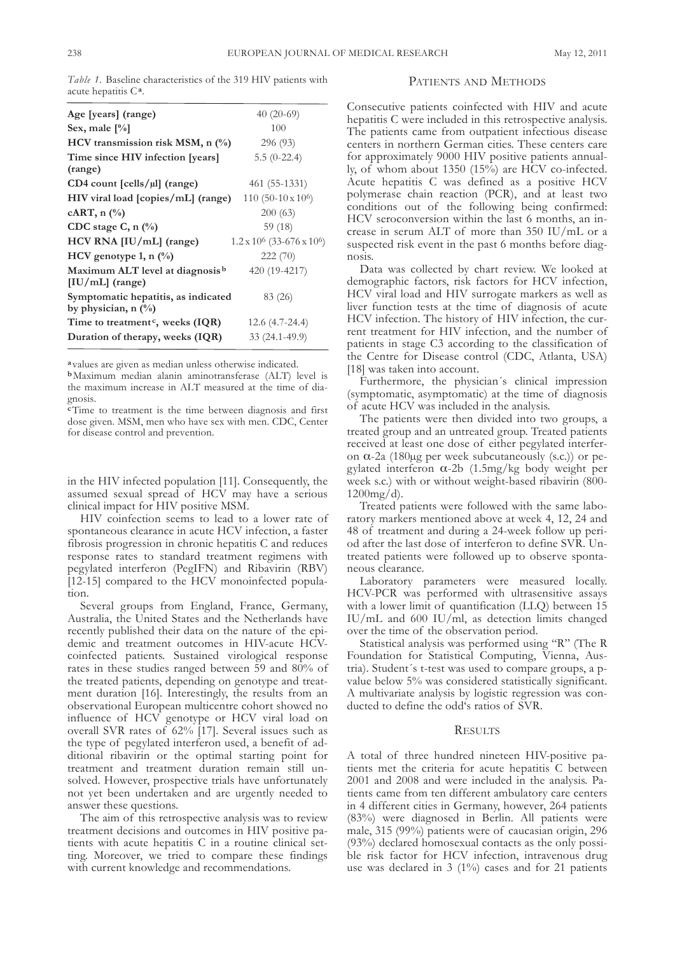*Table 1.* Baseline characteristics of the 319 HIV patients with acute hepatitis c**a**.

| Age [years] (range)                                              | $40(20-69)$                                   |
|------------------------------------------------------------------|-----------------------------------------------|
| Sex, male $[\%]$                                                 | 100                                           |
| HCV transmission risk MSM, $n$ $\left(\frac{9}{6}\right)$        | 296 (93)                                      |
| Time since HIV infection [years]<br>(range)                      | $5.5(0-22.4)$                                 |
| $CD4$ count $[cells/µ]$ (range)                                  | 461 (55-1331)                                 |
| HIV viral load [copies/mL] (range)                               | $110(50-10 \times 10^6)$                      |
| cART, n $(\%$                                                    | 200(63)                                       |
| CDC stage C, $n$ (%)                                             | 59 (18)                                       |
| HCV RNA [IU/mL] (range)                                          | $1.2 \times 10^6$ (33-676 x 10 <sup>6</sup> ) |
| HCV genotype 1, n $(\%)$                                         | 222(70)                                       |
| Maximum ALT level at diagnosis <sup>b</sup><br>$[IU/mL]$ (range) | 420 (19-4217)                                 |
| Symptomatic hepatitis, as indicated<br>by physician, n $(\%)$    | 83 (26)                                       |
| Time to treatment <sup>c</sup> , weeks (IQR)                     | 12.6 (4.7-24.4)                               |
| Duration of therapy, weeks (IQR)                                 | $33(24.1-49.9)$                               |
|                                                                  |                                               |

**a** values are given as median unless otherwise indicated.

**b**Maximum median alanin aminotransferase (ALT) level is the maximum increase in ALT measured at the time of diagnosis.

**c**Time to treatment is the time between diagnosis and first dose given. MSM, men who have sex with men. CDC, Center for disease control and prevention.

in the HIV infected population [11]. Consequently, the assumed sexual spread of HcV may have a serious clinical impact for HIV positive MsM.

HIV coinfection seems to lead to a lower rate of spontaneous clearance in acute HcV infection, a faster fibrosis progression in chronic hepatitis C and reduces response rates to standard treatment regimens with pegylated interferon (PegIFN) and Ribavirin (RBV) [12-15] compared to the HCV monoinfected population.

Several groups from England, France, Germany, Australia, the United States and the Netherlands have recently published their data on the nature of the epidemic and treatment outcomes in HIV-acute HcVcoinfected patients. sustained virological response rates in these studies ranged between 59 and 80% of the treated patients, depending on genotype and treatment duration [16]. Interestingly, the results from an observational European multicentre cohort showed no influence of HcV genotype or HcV viral load on overall sVR rates of 62% [17]. several issues such as the type of pegylated interferon used, a benefit of additional ribavirin or the optimal starting point for treatment and treatment duration remain still unsolved. However, prospective trials have unfortunately not yet been undertaken and are urgently needed to answer these questions.

The aim of this retrospective analysis was to review treatment decisions and outcomes in HIV positive patients with acute hepatitis C in a routine clinical setting. Moreover, we tried to compare these findings with current knowledge and recommendations.

### PATIENTS AND METHODS

consecutive patients coinfected with HIV and acute hepatitis C were included in this retrospective analysis. The patients came from outpatient infectious disease centers in northern German cities. These centers care for approximately 9000 HIV positive patients annually, of whom about 1350 (15%) are HCV co-infected. Acute hepatitis c was defined as a positive HcV polymerase chain reaction (PcR), and at least two conditions out of the following being confirmed: HcV seroconversion within the last 6 months, an increase in serum ALT of more than  $350$  IU/mL or a suspected risk event in the past 6 months before diagnosis.

Data was collected by chart review. We looked at demographic factors, risk factors for HcV infection, HcV viral load and HIV surrogate markers as well as liver function tests at the time of diagnosis of acute HcV infection. the history of HIV infection, the current treatment for HIV infection, and the number of patients in stage c3 according to the classification of the Centre for Disease control (CDC, Atlanta, USA) [18] was taken into account.

furthermore, the physician´s clinical impression (symptomatic, asymptomatic) at the time of diagnosis of acute HcV was included in the analysis.

The patients were then divided into two groups, a treated group and an untreated group. Treated patients received at least one dose of either pegylated interferon α-2a (180µg per week subcutaneously (s.c.)) or pegylated interferon α-2b (1.5mg/kg body weight per week s.c.) with or without weight-based ribavirin (800- 1200mg/d).

Treated patients were followed with the same laboratory markers mentioned above at week 4, 12, 24 and 48 of treatment and during a 24-week follow up period after the last dose of interferon to define SVR. Untreated patients were followed up to observe spontaneous clearance.

laboratory parameters were measured locally. HcV-PcR was performed with ultrasensitive assays with a lower limit of quantification (LLQ) between 15 Iu/ml and 600 Iu/ml, as detection limits changed over the time of the observation period.

Statistical analysis was performed using "R" (The R foundation for statistical computing, Vienna, Austria). student´s t-test was used to compare groups, a pvalue below 5% was considered statistically significant. A multivariate analysis by logistic regression was conducted to define the odd's ratios of sVR.

## **RESULTS**

A total of three hundred nineteen HIV-positive patients met the criteria for acute hepatitis C between 2001 and 2008 and were included in the analysis. Patients came from ten different ambulatory care centers in 4 different cities in Germany, however, 264 patients (83%) were diagnosed in Berlin. All patients were male, 315 (99%) patients were of caucasian origin, 296 (93%) declared homosexual contacts as the only possible risk factor for HcV infection, intravenous drug use was declared in  $3(1\%)$  cases and for 21 patients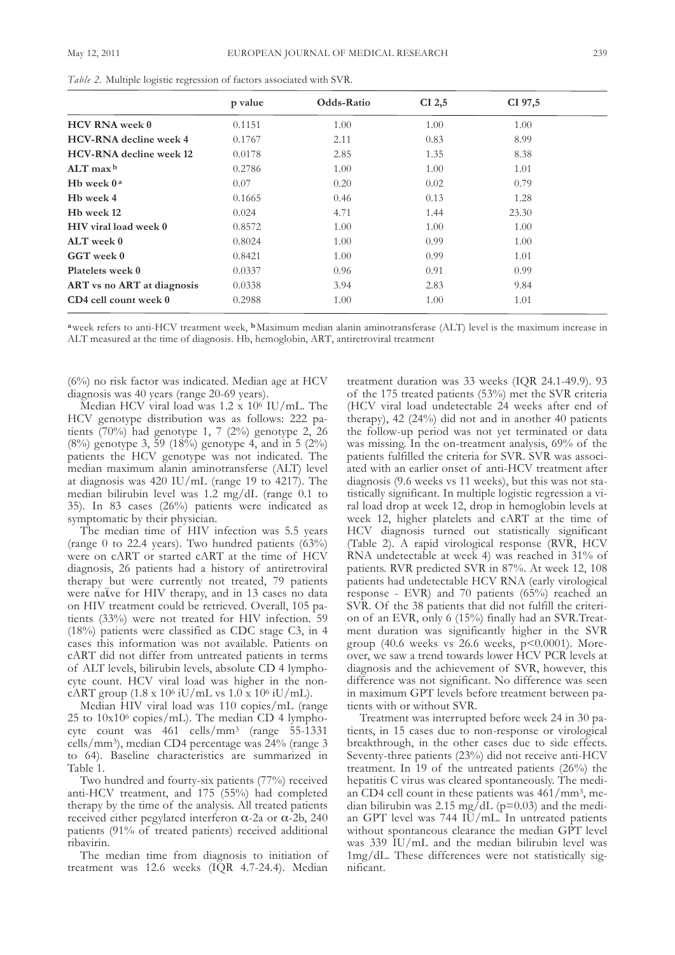|                                | p value | Odds-Ratio | $CI$ 2,5 | CI 97,5 |
|--------------------------------|---------|------------|----------|---------|
| <b>HCV RNA</b> week 0          | 0.1151  | 1.00       | 1.00     | 1.00    |
| <b>HCV-RNA</b> decline week 4  | 0.1767  | 2.11       | 0.83     | 8.99    |
| <b>HCV-RNA</b> decline week 12 | 0.0178  | 2.85       | 1.35     | 8.38    |
| $ALT$ max $b$                  | 0.2786  | 1.00       | 1.00     | 1.01    |
| H <sub>b</sub> week $0a$       | 0.07    | 0.20       | 0.02     | 0.79    |
| H <sub>b</sub> week 4          | 0.1665  | 0.46       | 0.13     | 1.28    |
| H <sub>b</sub> week 12         | 0.024   | 4.71       | 1.44     | 23.30   |
| HIV viral load week 0          | 0.8572  | 1.00       | 1.00     | 1.00    |
| ALT week 0                     | 0.8024  | 1.00       | 0.99     | 1.00    |
| GGT week 0                     | 0.8421  | 1.00       | 0.99     | 1.01    |
| Platelets week 0               | 0.0337  | 0.96       | 0.91     | 0.99    |
| ART vs no ART at diagnosis     | 0.0338  | 3.94       | 2.83     | 9.84    |
| CD4 cell count week 0          | 0.2988  | 1.00       | 1.00     | 1.01    |

*Table 2.* Multiple logistic regression of factors associated with sVR.

**a**week refers to anti-HcV treatment week, **b**Maximum median alanin aminotransferase (Alt) level is the maximum increase in Alt measured at the time of diagnosis. Hb, hemoglobin, ARt, antiretroviral treatment

 $(6%)$  no risk factor was indicated. Median age at HCV diagnosis was 40 years (range 20-69 years).

Median HCV viral load was  $1.2 \times 10^6$  IU/mL. The HcV genotype distribution was as follows: 222 patients  $(70\%)$  had genotype 1, 7 (2%) genotype 2, 26 (8%) genotype 3, 59 (18%) genotype 4, and in 5 (2%) patients the HCV genotype was not indicated. The median maximum alanin aminotransferse (ALT) level at diagnosis was  $420$  IU/mL (range 19 to  $4217$ ). The median bilirubin level was 1.2 mg/dl (range 0.1 to 35). In 83 cases (26%) patients were indicated as symptomatic by their physician.

The median time of HIV infection was 5.5 years (range 0 to 22.4 years). Two hundred patients  $(63%)$ were on cART or started cART at the time of HCV diagnosis, 26 patients had a history of antiretroviral therapy but were currently not treated, 79 patients were naϊve for HIV therapy, and in 13 cases no data on HIV treatment could be retrieved. Overall, 105 patients (33%) were not treated for HIV infection. 59 (18%) patients were classified as CDC stage C3, in 4 cases this information was not available. Patients on cARt did not differ from untreated patients in terms of ALT levels, bilirubin levels, absolute CD 4 lymphocyte count. HcV viral load was higher in the noncART group  $(1.8 \times 10^6 \text{ iU/mL} \text{ vs } 1.0 \times 10^6 \text{ iU/mL}).$ 

Median HIV viral load was 110 copies/mL (range 25 to  $10x10^6$  copies/mL). The median CD 4 lymphocyte count was 461 cells/mm3 (range 55-1331 cells/mm<sup>3</sup>), median CD4 percentage was 24% (range 3 to 64). Baseline characteristics are summarized in Table 1.

Two hundred and fourty-six patients (77%) received anti-HcV treatment, and 175 (55%) had completed therapy by the time of the analysis. All treated patients received either pegylated interferon  $α$ -2a or  $α$ -2b, 240 patients (91% of treated patients) received additional ribavirin.

The median time from diagnosis to initiation of treatment was 12.6 weeks (IQR 4.7-24.4). Median

treatment duration was 33 weeks (IQR 24.1-49.9). 93 of the 175 treated patients (53%) met the sVR criteria (HcV viral load undetectable 24 weeks after end of therapy), 42 (24%) did not and in another 40 patients the follow-up period was not yet terminated or data was missing. In the on-treatment analysis, 69% of the patients fulfilled the criteria for sVR. sVR was associated with an earlier onset of anti-HcV treatment after diagnosis (9.6 weeks vs 11 weeks), but this was not statistically significant. In multiple logistic regression a viral load drop at week 12, drop in hemoglobin levels at week 12, higher platelets and cART at the time of HcV diagnosis turned out statistically significant (Table 2). A rapid virological response (RVR, HCV) RNA undetectable at week 4) was reached in 31% of patients. RVR predicted sVR in 87%. At week 12, 108 patients had undetectable HcV RnA (early virological response - EVR) and 70 patients (65%) reached an sVR. of the 38 patients that did not fulfill the criterion of an EVR, only 6 (15%) finally had an SVR. Treatment duration was significantly higher in the sVR group (40.6 weeks vs 26.6 weeks, p<0.0001). Moreover, we saw a trend towards lower HcV PcR levels at diagnosis and the achievement of sVR, however, this difference was not significant. No difference was seen in maximum GPT levels before treatment between patients with or without sVR.

Treatment was interrupted before week 24 in 30 patients, in 15 cases due to non-response or virological breakthrough, in the other cases due to side effects. seventy-three patients (23%) did not receive anti-HcV treatment. In 19 of the untreated patients (26%) the hepatitis C virus was cleared spontaneously. The median CD4 cell count in these patients was  $461/mm^3$ , median bilirubin was 2.15 mg/dL ( $p=0.03$ ) and the median GPT level was 744 IU/mL. In untreated patients without spontaneous clearance the median GPT level was 339 IU/mL and the median bilirubin level was 1mg/dl. these differences were not statistically significant.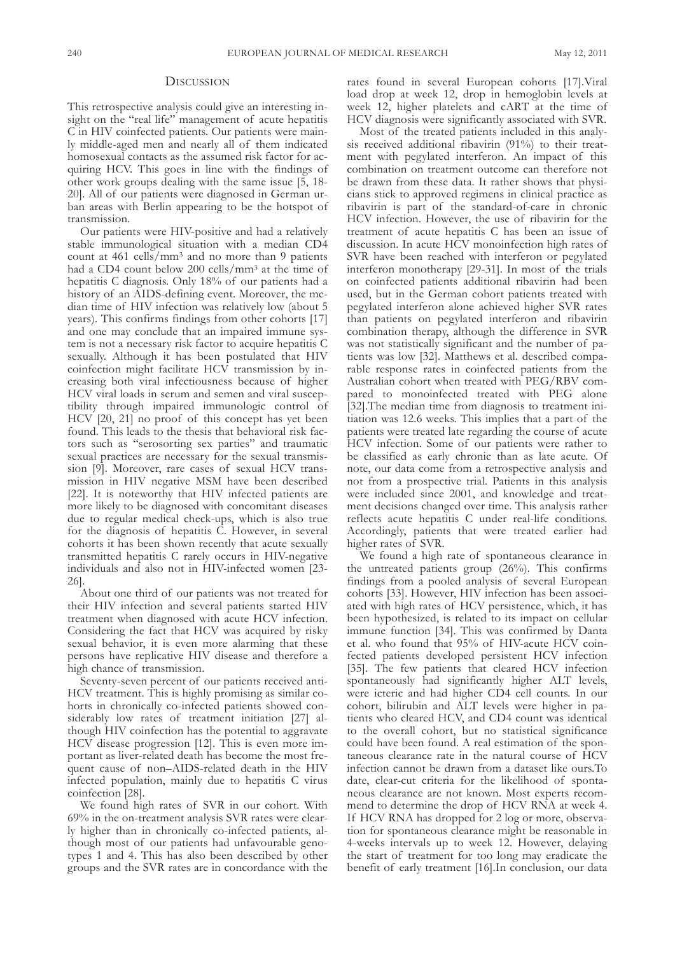### **DISCUSSION**

This retrospective analysis could give an interesting insight on the "real life" management of acute hepatitis C in HIV coinfected patients. Our patients were mainly middle-aged men and nearly all of them indicated homosexual contacts as the assumed risk factor for acquiring HCV. This goes in line with the findings of other work groups dealing with the same issue [5, 18- 20]. All of our patients were diagnosed in German urban areas with Berlin appearing to be the hotspot of transmission.

Our patients were HIV-positive and had a relatively stable immunological situation with a median CD4 count at  $461$  cells/mm<sup>3</sup> and no more than 9 patients had a CD4 count below 200 cells/mm<sup>3</sup> at the time of hepatitis C diagnosis. Only 18% of our patients had a history of an AIDS-defining event. Moreover, the median time of HIV infection was relatively low (about 5 years). This confirms findings from other cohorts [17] and one may conclude that an impaired immune system is not a necessary risk factor to acquire hepatitis c sexually. Although it has been postulated that HIV coinfection might facilitate HcV transmission by increasing both viral infectiousness because of higher HcV viral loads in serum and semen and viral susceptibility through impaired immunologic control of HcV [20, 21] no proof of this concept has yet been found. This leads to the thesis that behavioral risk factors such as "serosorting sex parties" and traumatic sexual practices are necessary for the sexual transmission [9]. Moreover, rare cases of sexual HcV transmission in HIV negative MsM have been described [22]. It is noteworthy that HIV infected patients are more likely to be diagnosed with concomitant diseases due to regular medical check-ups, which is also true for the diagnosis of hepatitis C. However, in several cohorts it has been shown recently that acute sexually transmitted hepatitis c rarely occurs in HIV-negative individuals and also not in HIV-infected women [23- 26].

About one third of our patients was not treated for their HIV infection and several patients started HIV treatment when diagnosed with acute HcV infection. considering the fact that HcV was acquired by risky sexual behavior, it is even more alarming that these persons have replicative HIV disease and therefore a high chance of transmission.

seventy-seven percent of our patients received anti-HCV treatment. This is highly promising as similar cohorts in chronically co-infected patients showed considerably low rates of treatment initiation [27] although HIV coinfection has the potential to aggravate HCV disease progression [12]. This is even more important as liver-related death has become the most frequent cause of non–AIDS-related death in the HIV infected population, mainly due to hepatitis C virus coinfection [28].

we found high rates of sVR in our cohort. with 69% in the on-treatment analysis sVR rates were clearly higher than in chronically co-infected patients, although most of our patients had unfavourable genotypes 1 and 4. This has also been described by other groups and the sVR rates are in concordance with the rates found in several European cohorts [17].Viral load drop at week 12, drop in hemoglobin levels at week 12, higher platelets and cART at the time of HcV diagnosis were significantly associated with sVR.

Most of the treated patients included in this analysis received additional ribavirin (91%) to their treatment with pegylated interferon. An impact of this combination on treatment outcome can therefore not be drawn from these data. It rather shows that physicians stick to approved regimens in clinical practice as ribavirin is part of the standard-of-care in chronic HcV infection. However, the use of ribavirin for the treatment of acute hepatitis c has been an issue of discussion. In acute HcV monoinfection high rates of sVR have been reached with interferon or pegylated interferon monotherapy [29-31]. In most of the trials on coinfected patients additional ribavirin had been used, but in the German cohort patients treated with pegylated interferon alone achieved higher sVR rates than patients on pegylated interferon and ribavirin combination therapy, although the difference in sVR was not statistically significant and the number of patients was low [32]. Matthews et al. described comparable response rates in coinfected patients from the Australian cohort when treated with PEG/RBV compared to monoinfected treated with PEG alone [32]. The median time from diagnosis to treatment initiation was 12.6 weeks. This implies that a part of the patients were treated late regarding the course of acute HcV infection. some of our patients were rather to be classified as early chronic than as late acute. Of note, our data come from a retrospective analysis and not from a prospective trial. Patients in this analysis were included since 2001, and knowledge and treatment decisions changed over time. This analysis rather reflects acute hepatitis C under real-life conditions. Accordingly, patients that were treated earlier had higher rates of sVR.

we found a high rate of spontaneous clearance in the untreated patients group  $(26%)$ . This confirms findings from a pooled analysis of several European cohorts [33]. However, HIV infection has been associated with high rates of HcV persistence, which, it has been hypothesized, is related to its impact on cellular immune function [34]. This was confirmed by Danta et al. who found that 95% of HIV-acute HcV coinfected patients developed persistent HcV infection [35]. the few patients that cleared HcV infection spontaneously had significantly higher ALT levels, were icteric and had higher CD4 cell counts. In our cohort, bilirubin and ALT levels were higher in patients who cleared HCV, and CD4 count was identical to the overall cohort, but no statistical significance could have been found. A real estimation of the spontaneous clearance rate in the natural course of HcV infection cannot be drawn from a dataset like ours. To date, clear-cut criteria for the likelihood of spontaneous clearance are not known. Most experts recommend to determine the drop of HCV RNA at week 4. If HcV RnA has dropped for 2 log or more, observation for spontaneous clearance might be reasonable in 4-weeks intervals up to week 12. However, delaying the start of treatment for too long may eradicate the benefit of early treatment [16].In conclusion, our data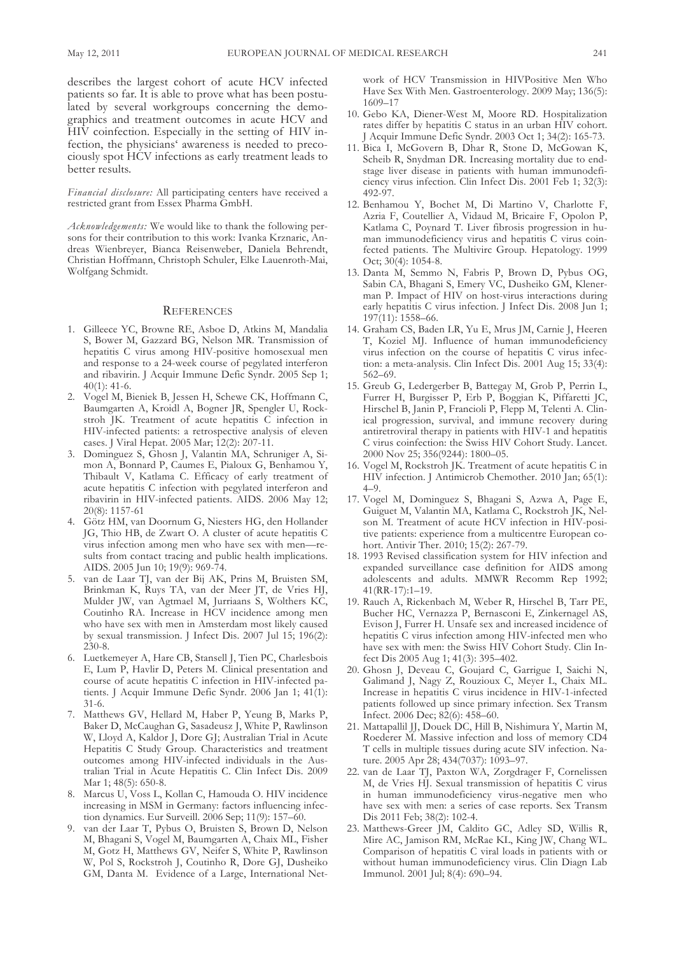describes the largest cohort of acute HcV infected patients so far. It is able to prove what has been postulated by several workgroups concerning the demographics and treatment outcomes in acute HcV and HIV coinfection. Especially in the setting of HIV infection, the physicians' awareness is needed to precociously spot HcV infections as early treatment leads to better results.

*Financial disclosure:* All participating centers have received a restricted grant from Essex Pharma GmbH.

*Acknowledgements:* we would like to thank the following persons for their contribution to this work: Ivanka Krznaric, Andreas Wienbreyer, Bianca Reisenweber, Daniela Behrendt, christian Hoffmann, christoph schuler, Elke lauenroth-Mai, wolfgang schmidt.

#### **REFERENCES**

- 1. Gilleece YC, Browne RE, Asboe D, Atkins M, Mandalia S, Bower M, Gazzard BG, Nelson MR. Transmission of hepatitis c virus among HIV-positive homosexual men and response to a 24-week course of pegylated interferon and ribavirin. J Acquir Immune Defic Syndr. 2005 Sep 1;  $40(1)$ : 41-6.
- 2. Vogel M, Bieniek B, Jessen H, schewe cK, Hoffmann c, Baumgarten A, Kroidl A, Bogner JR, Spengler U, Rockstroh JK. Treatment of acute hepatitis C infection in HIV-infected patients: a retrospective analysis of eleven cases. J Viral Hepat. 2005 Mar; 12(2): 207-11.
- 3. Dominguez S, Ghosn J, Valantin MA, Schruniger A, Simon A, Bonnard P, Caumes E, Pialoux G, Benhamou Y, Thibault V, Katlama C. Efficacy of early treatment of acute hepatitis C infection with pegylated interferon and ribavirin in HIV-infected patients. AIDS. 2006 May 12; 20(8): 1157-61
- 4. Götz HM, van Doornum G, Niesters HG, den Hollander JG, Thio HB, de Zwart O. A cluster of acute hepatitis C virus infection among men who have sex with men—results from contact tracing and public health implications. AIDS. 2005 Jun 10; 19(9): 969-74.
- 5. van de laar tJ, van der Bij AK, Prins M, Bruisten sM, Brinkman K, Ruys TA, van der Meer JT, de Vries HJ, Mulder JW, van Agtmael M, Jurriaans S, Wolthers KC, coutinho RA. Increase in HcV incidence among men who have sex with men in Amsterdam most likely caused by sexual transmission. J Infect Dis. 2007 Jul 15; 196(2): 230-8.
- 6. Luetkemeyer A, Hare CB, Stansell J, Tien PC, Charlesbois E, Lum P, Havlir D, Peters M. Clinical presentation and course of acute hepatitis C infection in HIV-infected patients. J Acquir Immune Defic Syndr. 2006 Jan 1; 41(1): 31-6.
- 7. Matthews gV, Hellard M, Haber P, yeung B, Marks P, Baker D, McCaughan G, Sasadeusz J, White P, Rawlinson W, Lloyd A, Kaldor J, Dore GJ; Australian Trial in Acute Hepatitis C Study Group. Characteristics and treatment outcomes among HIV-infected individuals in the Australian Trial in Acute Hepatitis C. Clin Infect Dis. 2009 Mar 1; 48(5): 650-8.
- 8. Marcus U, Voss L, Kollan C, Hamouda O. HIV incidence increasing in MSM in Germany: factors influencing infection dynamics. Eur surveill. 2006 sep; 11(9): 157–60.
- 9. van der Laar T, Pybus O, Bruisten S, Brown D, Nelson M, Bhagani s, Vogel M, Baumgarten A, chaix Ml, fisher M, Gotz H, Matthews GV, Neifer S, White P, Rawlinson W, Pol S, Rockstroh J, Coutinho R, Dore GJ, Dusheiko GM, Danta M. Evidence of a Large, International Net-

work of HCV Transmission in HIVPositive Men Who Have Sex With Men. Gastroenterology. 2009 May; 136(5): 1609–17

- 10. Gebo KA, Diener-West M, Moore RD. Hospitalization rates differ by hepatitis C status in an urban HIV cohort. J Acquir Immune Defic Syndr. 2003 Oct 1; 34(2): 165-73.
- 11. Bica I, McGovern B, Dhar R, Stone D, McGowan K, Scheib R, Snydman DR. Increasing mortality due to endstage liver disease in patients with human immunodeficiency virus infection. Clin Infect Dis. 2001 Feb 1; 32(3): 492-97.
- 12. Benhamou Y, Bochet M, Di Martino V, Charlotte F, Azria F, Coutellier A, Vidaud M, Bricaire F, Opolon P, Katlama C, Poynard T. Liver fibrosis progression in human immunodeficiency virus and hepatitis C virus coinfected patients. The Multivirc Group. Hepatology. 1999 Oct;  $30(4)$ : 1054-8.
- 13. Danta M, Semmo N, Fabris P, Brown D, Pybus OG, Sabin CA, Bhagani S, Emery VC, Dusheiko GM, Klenerman P. Impact of HIV on host-virus interactions during early hepatitis C virus infection. J Infect Dis. 2008 Jun 1; 197(11): 1558–66.
- 14. Graham CS, Baden LR, Yu E, Mrus JM, Carnie J, Heeren T, Koziel MJ. Influence of human immunodeficiency virus infection on the course of hepatitis C virus infection: a meta-analysis. Clin Infect Dis. 2001 Aug 15; 33(4): 562–69.
- 15. Greub G, Ledergerber B, Battegay M, Grob P, Perrin L, furrer H, Burgisser P, Erb P, Boggian K, Piffaretti Jc, Hirschel B, Janin P, Francioli P, Flepp M, Telenti A. Clinical progression, survival, and immune recovery during antiretroviral therapy in patients with HIV-1 and hepatitis C virus coinfection: the Swiss HIV Cohort Study. Lancet. 2000 nov 25; 356(9244): 1800–05.
- 16. Vogel M, Rockstroh JK. Treatment of acute hepatitis C in HIV infection. J Antimicrob chemother. 2010 Jan; 65(1): 4–9.
- 17. Vogel M, Dominguez S, Bhagani S, Azwa A, Page E, Guiguet M, Valantin MA, Katlama C, Rockstroh JK, Nelson M. Treatment of acute HCV infection in HIV-positive patients: experience from a multicentre European cohort. Antivir Ther. 2010; 15(2): 267-79.
- 18. 1993 Revised classification system for HIV infection and expanded surveillance case definition for AIDS among adolescents and adults. MMwR Recomm Rep 1992; 41(RR-17):1–19.
- 19. Rauch A, Rickenbach M, Weber R, Hirschel B, Tarr PE, Bucher Hc, Vernazza P, Bernasconi E, Zinkernagel As, Evison J, Furrer H. Unsafe sex and increased incidence of hepatitis C virus infection among HIV-infected men who have sex with men: the Swiss HIV Cohort Study. Clin Infect Dis 2005 Aug 1; 41(3): 395-402.
- 20. Ghosn J, Deveau C, Goujard C, Garrigue I, Saichi N, Galimand J, Nagy Z, Rouzioux C, Meyer L, Chaix ML. Increase in hepatitis C virus incidence in HIV-1-infected patients followed up since primary infection. Sex Transm Infect. 2006 Dec; 82(6): 458-60.
- 21. Mattapallil JJ, Douek DC, Hill B, Nishimura Y, Martin M, Roederer M. Massive infection and loss of memory CD4 T cells in multiple tissues during acute SIV infection. Nature. 2005 Apr 28; 434(7037): 1093–97.
- 22. van de laar tJ, Paxton wA, Zorgdrager f, cornelissen M, de Vries HJ. Sexual transmission of hepatitis C virus in human immunodeficiency virus-negative men who have sex with men: a series of case reports. Sex Transm Dis 2011 Feb; 38(2): 102-4.
- 23. Matthews-Greer JM, Caldito GC, Adley SD, Willis R, Mire AC, Jamison RM, McRae KL, King JW, Chang WL. comparison of hepatitis c viral loads in patients with or without human immunodeficiency virus. Clin Diagn Lab Immunol. 2001 Jul; 8(4): 690–94.